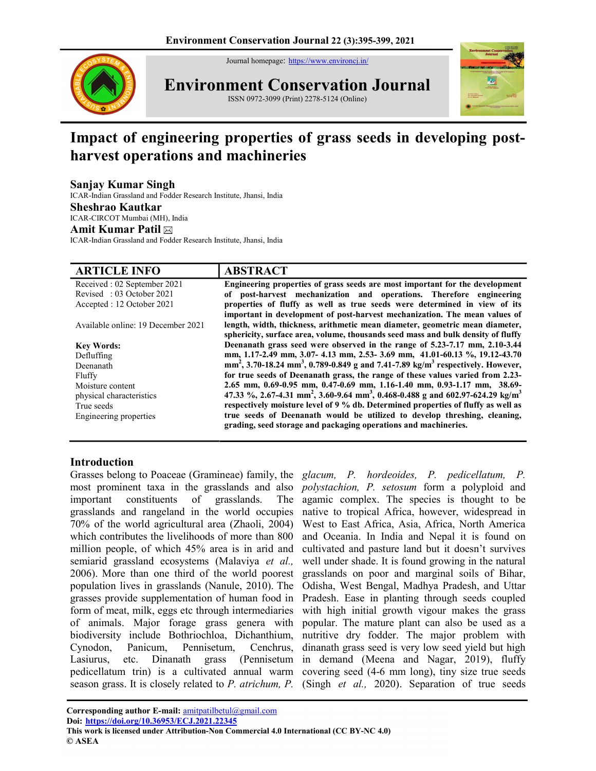Journal homepage: https://www.environcj.in/



Environment Conservation Journal ISSN 0972-3099 (Print) 2278-5124 (Online)



# Impact of engineering properties of grass seeds in developing postharvest operations and machineries

# Sanjay Kumar Singh

ICAR-Indian Grassland and Fodder Research Institute, Jhansi, India

#### Sheshrao Kautkar

ICAR-CIRCOT Mumbai (MH), India

# Amit Kumar Patil

ICAR-Indian Grassland and Fodder Research Institute, Jhansi, India

| <b>ARTICLE INFO</b>                | <b>ABSTRACT</b>                                                                                                                                                  |
|------------------------------------|------------------------------------------------------------------------------------------------------------------------------------------------------------------|
| Received : 02 September 2021       | Engineering properties of grass seeds are most important for the development                                                                                     |
| Revised: 03 October 2021           | of post-harvest mechanization and operations. Therefore engineering                                                                                              |
| Accepted : 12 October 2021         | properties of fluffy as well as true seeds were determined in view of its                                                                                        |
|                                    | important in development of post-harvest mechanization. The mean values of                                                                                       |
| Available online: 19 December 2021 | length, width, thickness, arithmetic mean diameter, geometric mean diameter,<br>sphericity, surface area, volume, thousands seed mass and bulk density of fluffy |
| <b>Key Words:</b>                  | Deenanath grass seed were observed in the range of 5.23-7.17 mm, 2.10-3.44                                                                                       |
| Defluffing                         | mm, 1.17-2.49 mm, 3.07- 4.13 mm, 2.53- 3.69 mm, 41.01-60.13 %, 19.12-43.70                                                                                       |
| Deenanath                          | mm <sup>2</sup> , 3.70-18.24 mm <sup>3</sup> , 0.789-0.849 g and 7.41-7.89 kg/m <sup>3</sup> respectively. However,                                              |
| Fluffy                             | for true seeds of Deenanath grass, the range of these values varied from 2.23-                                                                                   |
| Moisture content                   | 2.65 mm, 0.69-0.95 mm, 0.47-0.69 mm, 1.16-1.40 mm, 0.93-1.17 mm, 38.69-                                                                                          |
| physical characteristics           | 47.33 %, 2.67-4.31 mm <sup>2</sup> , 3.60-9.64 mm <sup>3</sup> , 0.468-0.488 g and 602.97-624.29 kg/m <sup>3</sup>                                               |
| True seeds                         | respectively moisture level of 9 % db. Determined properties of fluffy as well as                                                                                |
| Engineering properties             | true seeds of Deenanath would be utilized to develop threshing, cleaning,<br>grading, seed storage and packaging operations and machineries.                     |

## Introduction

Grasses belong to Poaceae (Gramineae) family, the glacum, P. hordeoides, P. pedicellatum, P. most prominent taxa in the grasslands and also important constituents of grasslands. The grasslands and rangeland in the world occupies 70% of the world agricultural area (Zhaoli, 2004) which contributes the livelihoods of more than 800 million people, of which 45% area is in arid and semiarid grassland ecosystems (Malaviya et al., 2006). More than one third of the world poorest population lives in grasslands (Nanule, 2010). The grasses provide supplementation of human food in form of meat, milk, eggs etc through intermediaries of animals. Major forage grass genera with biodiversity include Bothriochloa, Dichanthium, Cynodon, Panicum, Pennisetum, Cenchrus, Lasiurus, etc. Dinanath grass (Pennisetum pedicellatum trin) is a cultivated annual warm covering seed (4-6 mm long), tiny size true seeds season grass. It is closely related to P. atrichum, P. (Singh et al., 2020). Separation of true seeds

polystachion, P. setosum form a polyploid and agamic complex. The species is thought to be native to tropical Africa, however, widespread in West to East Africa, Asia, Africa, North America and Oceania. In India and Nepal it is found on cultivated and pasture land but it doesn't survives well under shade. It is found growing in the natural grasslands on poor and marginal soils of Bihar, Odisha, West Bengal, Madhya Pradesh, and Uttar Pradesh. Ease in planting through seeds coupled with high initial growth vigour makes the grass popular. The mature plant can also be used as a nutritive dry fodder. The major problem with dinanath grass seed is very low seed yield but high in demand (Meena and Nagar, 2019), fluffy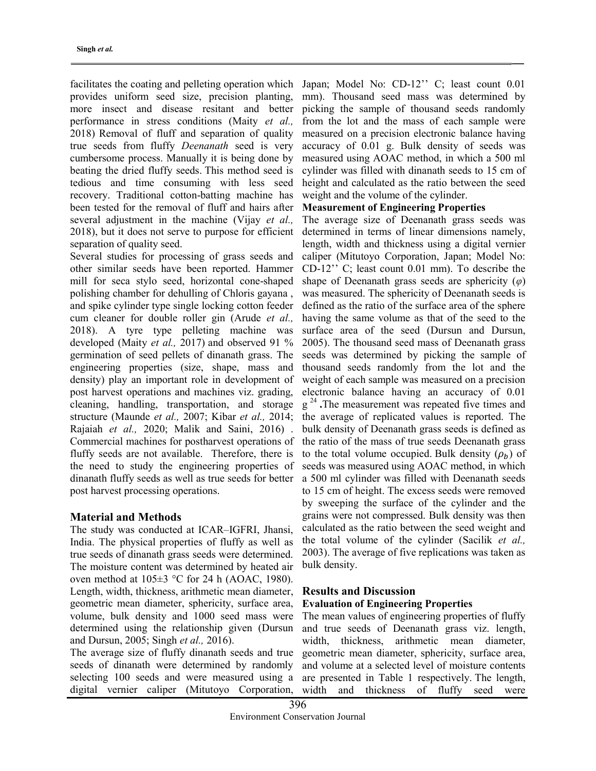facilitates the coating and pelleting operation which Japan; Model No: CD-12" C; least count 0.01 provides uniform seed size, precision planting, more insect and disease resitant and better performance in stress conditions (Maity et al., 2018) Removal of fluff and separation of quality true seeds from fluffy Deenanath seed is very cumbersome process. Manually it is being done by beating the dried fluffy seeds. This method seed is tedious and time consuming with less seed recovery. Traditional cotton-batting machine has been tested for the removal of fluff and hairs after several adjustment in the machine (Vijay et al., 2018), but it does not serve to purpose for efficient separation of quality seed.

Several studies for processing of grass seeds and other similar seeds have been reported. Hammer mill for seca stylo seed, horizontal cone-shaped polishing chamber for dehulling of Chloris gayana , and spike cylinder type single locking cotton feeder cum cleaner for double roller gin (Arude et al., 2018). A tyre type pelleting machine was developed (Maity et al., 2017) and observed 91 % germination of seed pellets of dinanath grass. The engineering properties (size, shape, mass and density) play an important role in development of post harvest operations and machines viz. grading, cleaning, handling, transportation, and storage structure (Maunde et al., 2007; Kibar et al., 2014; Rajaiah et al., 2020; Malik and Saini, 2016) . Commercial machines for postharvest operations of fluffy seeds are not available. Therefore, there is the need to study the engineering properties of dinanath fluffy seeds as well as true seeds for better post harvest processing operations.

## Material and Methods

The study was conducted at ICAR–IGFRI, Jhansi, India. The physical properties of fluffy as well as true seeds of dinanath grass seeds were determined. The moisture content was determined by heated air oven method at  $105\pm3$  °C for 24 h (AOAC, 1980). Length, width, thickness, arithmetic mean diameter, geometric mean diameter, sphericity, surface area, volume, bulk density and 1000 seed mass were determined using the relationship given (Dursun and Dursun, 2005; Singh et al., 2016).

The average size of fluffy dinanath seeds and true seeds of dinanath were determined by randomly selecting 100 seeds and were measured using a digital vernier caliper (Mitutoyo Corporation,

mm). Thousand seed mass was determined by picking the sample of thousand seeds randomly from the lot and the mass of each sample were measured on a precision electronic balance having accuracy of 0.01 g. Bulk density of seeds was measured using AOAC method, in which a 500 ml cylinder was filled with dinanath seeds to 15 cm of height and calculated as the ratio between the seed weight and the volume of the cylinder.

## Measurement of Engineering Properties

The average size of Deenanath grass seeds was determined in terms of linear dimensions namely, length, width and thickness using a digital vernier caliper (Mitutoyo Corporation, Japan; Model No: CD-12'' C; least count 0.01 mm). To describe the shape of Deenanath grass seeds are sphericity  $(\varphi)$ was measured. The sphericity of Deenanath seeds is defined as the ratio of the surface area of the sphere having the same volume as that of the seed to the surface area of the seed (Dursun and Dursun, 2005). The thousand seed mass of Deenanath grass seeds was determined by picking the sample of thousand seeds randomly from the lot and the weight of each sample was measured on a precision electronic balance having an accuracy of 0.01  $g^{24}$ . The measurement was repeated five times and the average of replicated values is reported. The bulk density of Deenanath grass seeds is defined as the ratio of the mass of true seeds Deenanath grass to the total volume occupied. Bulk density  $(\rho_h)$  of seeds was measured using AOAC method, in which a 500 ml cylinder was filled with Deenanath seeds to 15 cm of height. The excess seeds were removed by sweeping the surface of the cylinder and the grains were not compressed. Bulk density was then calculated as the ratio between the seed weight and the total volume of the cylinder (Sacilik et al., 2003). The average of five replications was taken as bulk density.

## Results and Discussion Evaluation of Engineering Properties

The mean values of engineering properties of fluffy and true seeds of Deenanath grass viz. length, width, thickness, arithmetic mean diameter, geometric mean diameter, sphericity, surface area, and volume at a selected level of moisture contents are presented in Table 1 respectively. The length, width and thickness of fluffy seed were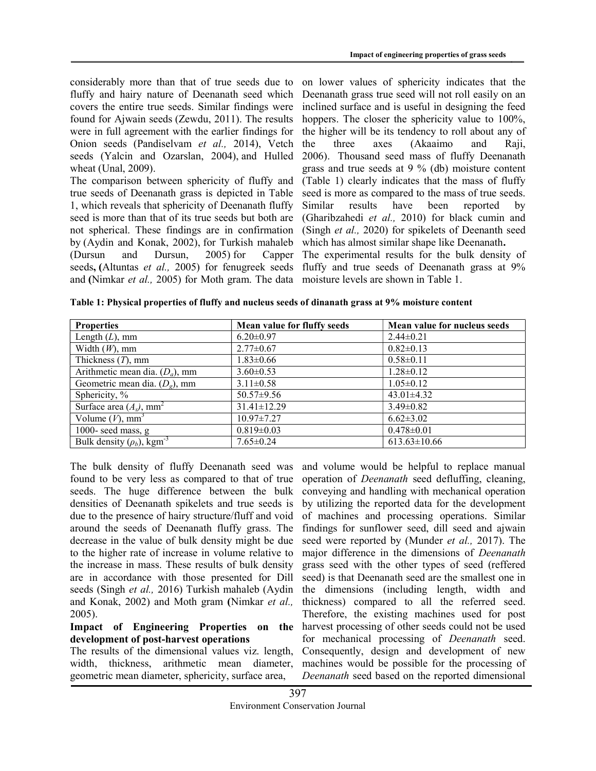considerably more than that of true seeds due to fluffy and hairy nature of Deenanath seed which covers the entire true seeds. Similar findings were found for Ajwain seeds (Zewdu, 2011). The results were in full agreement with the earlier findings for Onion seeds (Pandiselvam et al., 2014), Vetch seeds (Yalcin and Ozarslan, 2004), and Hulled wheat (Unal, 2009).

The comparison between sphericity of fluffy and true seeds of Deenanath grass is depicted in Table 1, which reveals that sphericity of Deenanath fluffy seed is more than that of its true seeds but both are not spherical. These findings are in confirmation by (Aydin and Konak, 2002), for Turkish mahaleb (Dursun and Dursun, 2005) for Capper seeds, (Altuntas et al., 2005) for fenugreek seeds and (Nimkar et al., 2005) for Moth gram. The data

on lower values of sphericity indicates that the Deenanath grass true seed will not roll easily on an inclined surface and is useful in designing the feed hoppers. The closer the sphericity value to 100%, the higher will be its tendency to roll about any of the three axes (Akaaimo and Raji, 2006). Thousand seed mass of fluffy Deenanath grass and true seeds at 9 % (db) moisture content (Table 1) clearly indicates that the mass of fluffy seed is more as compared to the mass of true seeds. Similar results have been reported by (Gharibzahedi et al., 2010) for black cumin and (Singh et al., 2020) for spikelets of Deenanth seed which has almost similar shape like Deenanath.

The experimental results for the bulk density of fluffy and true seeds of Deenanath grass at 9% moisture levels are shown in Table 1.

|  |  | Table 1: Physical properties of fluffy and nucleus seeds of dinanath grass at 9% moisture content |
|--|--|---------------------------------------------------------------------------------------------------|
|  |  |                                                                                                   |

| <b>Properties</b>                           | Mean value for fluffy seeds | Mean value for nucleus seeds |
|---------------------------------------------|-----------------------------|------------------------------|
| Length $(L)$ , mm                           | $6.20 \pm 0.97$             | $2.44\pm0.21$                |
| Width $(W)$ , mm                            | $2.77 \pm 0.67$             | $0.82 \pm 0.13$              |
| Thickness $(T)$ , mm                        | $1.83 \pm 0.66$             | $0.58 \pm 0.11$              |
| Arithmetic mean dia. $(D_a)$ , mm           | $3.60 \pm 0.53$             | $1.28 \pm 0.12$              |
| Geometric mean dia. $(De)$ , mm             | $3.11 \pm 0.58$             | $1.05 \pm 0.12$              |
| Sphericity, %                               | $50.57 \pm 9.56$            | $43.01 \pm 4.32$             |
| Surface area $(A_s)$ , mm <sup>2</sup>      | $31.41 \pm 12.29$           | $3.49\pm0.82$                |
| Volume $(V)$ , mm <sup>3</sup>              | $10.97 \pm 7.27$            | $6.62 \pm 3.02$              |
| 1000- seed mass, g                          | $0.819 \pm 0.03$            | $0.478 \pm 0.01$             |
| Bulk density $(\rho_b)$ , kgm <sup>-3</sup> | $7.65 \pm 0.24$             | $613.63 \pm 10.66$           |

The bulk density of fluffy Deenanath seed was found to be very less as compared to that of true seeds. The huge difference between the bulk densities of Deenanath spikelets and true seeds is due to the presence of hairy structure/fluff and void around the seeds of Deenanath fluffy grass. The decrease in the value of bulk density might be due to the higher rate of increase in volume relative to the increase in mass. These results of bulk density are in accordance with those presented for Dill seeds (Singh et al., 2016) Turkish mahaleb (Aydin and Konak, 2002) and Moth gram (Nimkar et al., 2005).

## Impact of Engineering Properties on the development of post-harvest operations

The results of the dimensional values viz. length, width, thickness, arithmetic mean diameter, geometric mean diameter, sphericity, surface area,

and volume would be helpful to replace manual operation of Deenanath seed defluffing, cleaning, conveying and handling with mechanical operation by utilizing the reported data for the development of machines and processing operations. Similar findings for sunflower seed, dill seed and ajwain seed were reported by (Munder et al., 2017). The major difference in the dimensions of Deenanath grass seed with the other types of seed (reffered seed) is that Deenanath seed are the smallest one in the dimensions (including length, width and thickness) compared to all the referred seed. Therefore, the existing machines used for post harvest processing of other seeds could not be used for mechanical processing of Deenanath seed. Consequently, design and development of new machines would be possible for the processing of Deenanath seed based on the reported dimensional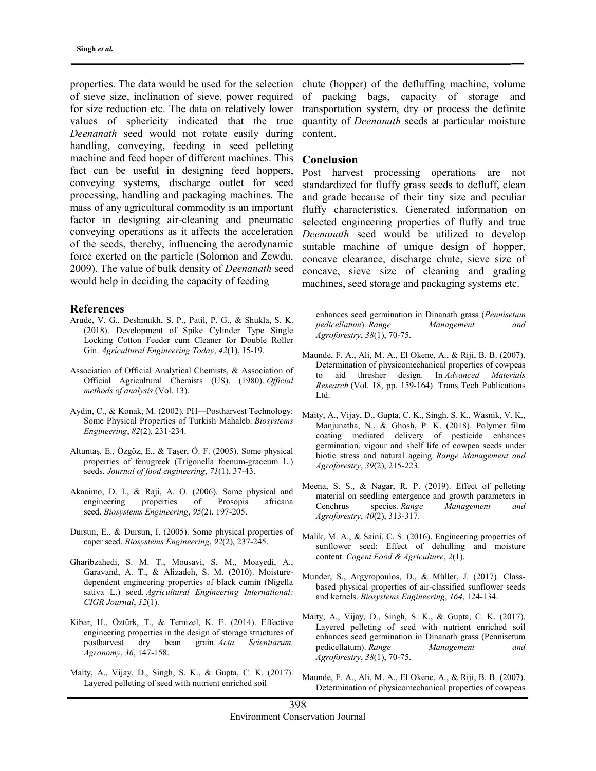properties. The data would be used for the selection of sieve size, inclination of sieve, power required for size reduction etc. The data on relatively lower values of sphericity indicated that the true Deenanath seed would not rotate easily during handling, conveying, feeding in seed pelleting machine and feed hoper of different machines. This fact can be useful in designing feed hoppers, conveying systems, discharge outlet for seed processing, handling and packaging machines. The mass of any agricultural commodity is an important factor in designing air-cleaning and pneumatic conveying operations as it affects the acceleration of the seeds, thereby, influencing the aerodynamic force exerted on the particle (Solomon and Zewdu, 2009). The value of bulk density of Deenanath seed would help in deciding the capacity of feeding

#### References

- Arude, V. G., Deshmukh, S. P., Patil, P. G., & Shukla, S. K. (2018). Development of Spike Cylinder Type Single Locking Cotton Feeder cum Cleaner for Double Roller Gin. Agricultural Engineering Today, 42(1), 15-19.
- Association of Official Analytical Chemists, & Association of Official Agricultural Chemists (US). (1980). Official methods of analysis (Vol. 13).
- Aydin, C., & Konak, M. (2002). PH—Postharvest Technology: Some Physical Properties of Turkish Mahaleb. Biosystems Engineering, 82(2), 231-234.
- Altuntaş, E., Özgöz, E., & Taşer, Ö. F. (2005). Some physical properties of fenugreek (Trigonella foenum-graceum L.) seeds. Journal of food engineering, 71(1), 37-43.
- Akaaimo, D. I., & Raji, A. O. (2006). Some physical and engineering properties of Prosopis africana seed. Biosystems Engineering, 95(2), 197-205.
- Dursun, E., & Dursun, I. (2005). Some physical properties of caper seed. Biosystems Engineering, 92(2), 237-245.
- Gharibzahedi, S. M. T., Mousavi, S. M., Moayedi, A., Garavand, A. T., & Alizadeh, S. M. (2010). Moisturedependent engineering properties of black cumin (Nigella sativa L.) seed. Agricultural Engineering International: CIGR Journal, 12(1).
- Kibar, H., Öztürk, T., & Temizel, K. E. (2014). Effective engineering properties in the design of storage structures of postharvest dry bean grain. Acta Scientiarum. Agronomy, 36, 147-158.
- Maity, A., Vijay, D., Singh, S. K., & Gupta, C. K. (2017). Layered pelleting of seed with nutrient enriched soil

chute (hopper) of the defluffing machine, volume of packing bags, capacity of storage and transportation system, dry or process the definite quantity of Deenanath seeds at particular moisture content.

#### Conclusion

Post harvest processing operations are not standardized for fluffy grass seeds to defluff, clean and grade because of their tiny size and peculiar fluffy characteristics. Generated information on selected engineering properties of fluffy and true Deenanath seed would be utilized to develop suitable machine of unique design of hopper, concave clearance, discharge chute, sieve size of concave, sieve size of cleaning and grading machines, seed storage and packaging systems etc.

enhances seed germination in Dinanath grass (Pennisetum pedicellatum). Range Management and Agroforestry, 38(1), 70-75.

- Maunde, F. A., Ali, M. A., El Okene, A., & Riji, B. B. (2007). Determination of physicomechanical properties of cowpeas to aid thresher design. In Advanced Materials Research (Vol. 18, pp. 159-164). Trans Tech Publications Ltd.
- Maity, A., Vijay, D., Gupta, C. K., Singh, S. K., Wasnik, V. K., Manjunatha, N., & Ghosh, P. K. (2018). Polymer film coating mediated delivery of pesticide enhances germination, vigour and shelf life of cowpea seeds under biotic stress and natural ageing. Range Management and Agroforestry, 39(2), 215-223.
- Meena, S. S., & Nagar, R. P. (2019). Effect of pelleting material on seedling emergence and growth parameters in Cenchrus species. Range Management and Agroforestry, 40(2), 313-317.
- Malik, M. A., & Saini, C. S. (2016). Engineering properties of sunflower seed: Effect of dehulling and moisture content. Cogent Food & Agriculture, 2(1).
- Munder, S., Argyropoulos, D., & Müller, J. (2017). Classbased physical properties of air-classified sunflower seeds and kernels. Biosystems Engineering, 164, 124-134.
- Maity, A., Vijay, D., Singh, S. K., & Gupta, C. K. (2017). Layered pelleting of seed with nutrient enriched soil enhances seed germination in Dinanath grass (Pennisetum pedicellatum). Range Management and Agroforestry, 38(1), 70-75.
- Maunde, F. A., Ali, M. A., El Okene, A., & Riji, B. B. (2007). Determination of physicomechanical properties of cowpeas